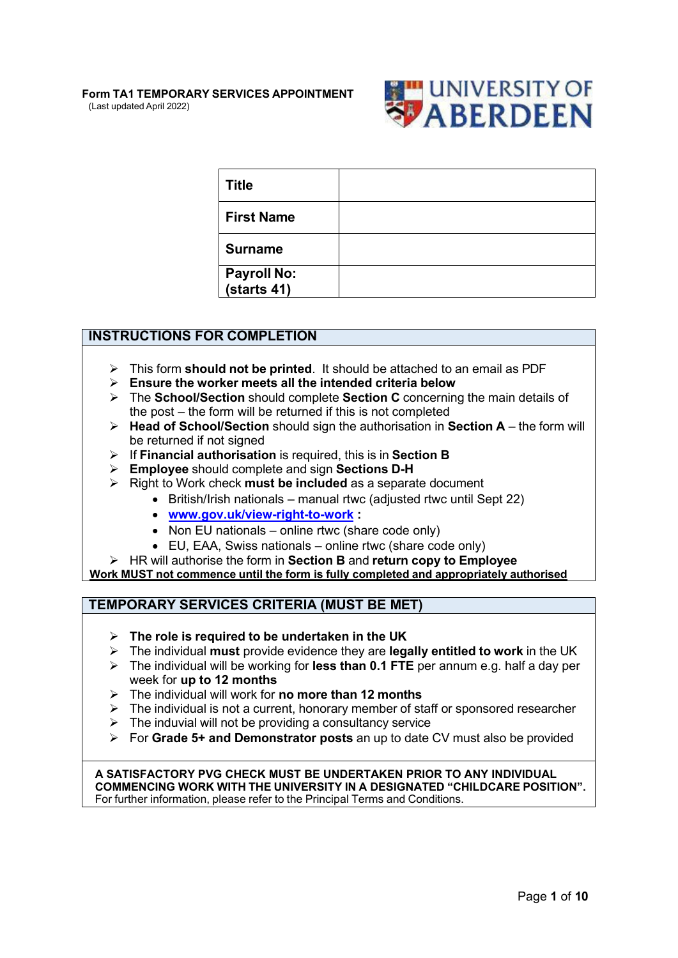#### **Form TA1 TEMPORARY SERVICES APPOINTMENT** (Last updated April 2022)



| <b>Title</b>               |  |
|----------------------------|--|
| <b>First Name</b>          |  |
| <b>Surname</b>             |  |
| Payroll No:<br>(starts 41) |  |

### **INSTRUCTIONS FOR COMPLETION**

- This form **should not be printed**. It should be attached to an email as PDF
- **Ensure the worker meets all the intended criteria below**
- The **School/Section** should complete **Section C** concerning the main details of the post – the form will be returned if this is not completed
- **Head of School/Section** should sign the authorisation in **Section A**  the form will be returned if not signed
- If **Financial authorisation** is required, this is in **Section B**
- **Employee** should complete and sign **Sections D-H**
- Right to Work check **must be included** as a separate document
	- British/Irish nationals manual rtwc (adjusted rtwc until Sept 22)
		- **[www.gov.uk/view-right-to-work](http://www.gov.uk/view-right-to-work) :**
		- Non EU nationals online rtwc (share code only)
		- EU, EAA, Swiss nationals online rtwc (share code only)
- HR will authorise the form in **Section B** and **return copy to Employee**

**Work MUST not commence until the form is fully completed and appropriately authorised**

### **TEMPORARY SERVICES CRITERIA (MUST BE MET)**

- **The role is required to be undertaken in the UK**
- The individual **must** provide evidence they are **legally entitled to work** in the UK
- The individual will be working for **less than 0.1 FTE** per annum e.g. half a day per week for **up to 12 months**
- The individual will work for **no more than 12 months**
- $\triangleright$  The individual is not a current, honorary member of staff or sponsored researcher
- $\triangleright$  The induvial will not be providing a consultancy service
- For **Grade 5+ and Demonstrator posts** an up to date CV must also be provided

**A SATISFACTORY PVG CHECK MUST BE UNDERTAKEN PRIOR TO ANY INDIVIDUAL COMMENCING WORK WITH THE UNIVERSITY IN A DESIGNATED "CHILDCARE POSITION".** For further information, please refer to the Principal Terms and Conditions.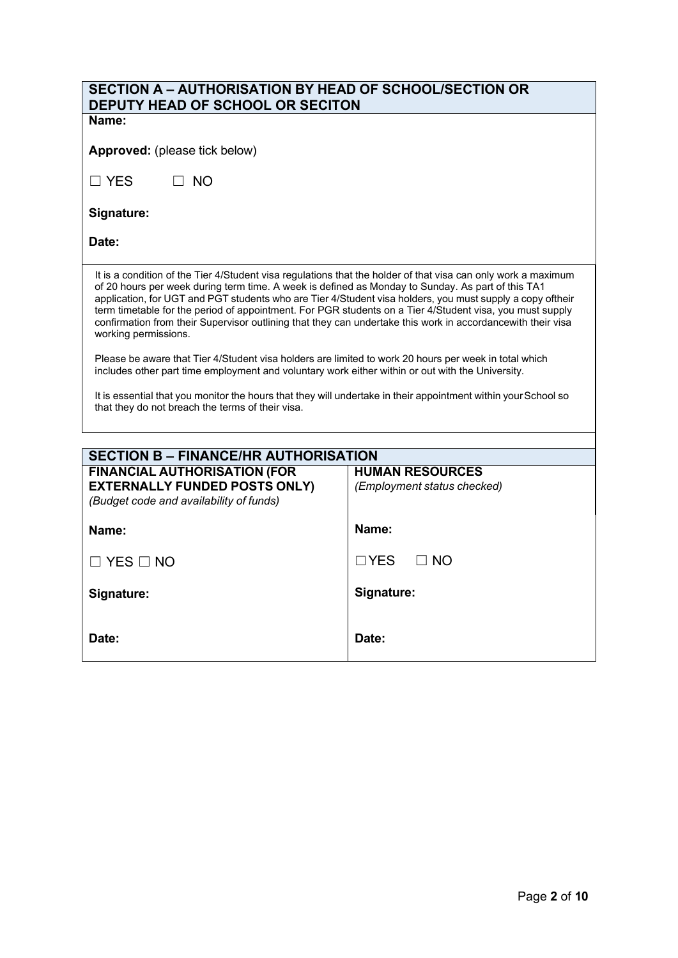| SECTION A - AUTHORISATION BY HEAD OF SCHOOL/SECTION OR<br>DEPUTY HEAD OF SCHOOL OR SECITON                                                                                                                                                                                                                                                                                                                                                                                                                                                                                         |       |  |  |  |
|------------------------------------------------------------------------------------------------------------------------------------------------------------------------------------------------------------------------------------------------------------------------------------------------------------------------------------------------------------------------------------------------------------------------------------------------------------------------------------------------------------------------------------------------------------------------------------|-------|--|--|--|
| Name:                                                                                                                                                                                                                                                                                                                                                                                                                                                                                                                                                                              |       |  |  |  |
| Approved: (please tick below)                                                                                                                                                                                                                                                                                                                                                                                                                                                                                                                                                      |       |  |  |  |
| $\square$ YES<br>$\Box$ NO                                                                                                                                                                                                                                                                                                                                                                                                                                                                                                                                                         |       |  |  |  |
| Signature:                                                                                                                                                                                                                                                                                                                                                                                                                                                                                                                                                                         |       |  |  |  |
| Date:                                                                                                                                                                                                                                                                                                                                                                                                                                                                                                                                                                              |       |  |  |  |
| It is a condition of the Tier 4/Student visa regulations that the holder of that visa can only work a maximum<br>of 20 hours per week during term time. A week is defined as Monday to Sunday. As part of this TA1<br>application, for UGT and PGT students who are Tier 4/Student visa holders, you must supply a copy oftheir<br>term timetable for the period of appointment. For PGR students on a Tier 4/Student visa, you must supply<br>confirmation from their Supervisor outlining that they can undertake this work in accordancewith their visa<br>working permissions. |       |  |  |  |
| Please be aware that Tier 4/Student visa holders are limited to work 20 hours per week in total which<br>includes other part time employment and voluntary work either within or out with the University.                                                                                                                                                                                                                                                                                                                                                                          |       |  |  |  |
| It is essential that you monitor the hours that they will undertake in their appointment within your School so<br>that they do not breach the terms of their visa.                                                                                                                                                                                                                                                                                                                                                                                                                 |       |  |  |  |
|                                                                                                                                                                                                                                                                                                                                                                                                                                                                                                                                                                                    |       |  |  |  |
| <b>SECTION B - FINANCE/HR AUTHORISATION</b>                                                                                                                                                                                                                                                                                                                                                                                                                                                                                                                                        |       |  |  |  |
| <b>FINANCIAL AUTHORISATION (FOR</b><br><b>HUMAN RESOURCES</b><br><b>EXTERNALLY FUNDED POSTS ONLY)</b><br>(Employment status checked)<br>(Budget code and availability of funds)                                                                                                                                                                                                                                                                                                                                                                                                    |       |  |  |  |
| Name:<br>Name:                                                                                                                                                                                                                                                                                                                                                                                                                                                                                                                                                                     |       |  |  |  |
| $\Box$ YES<br>$\Box$ NO<br>$\Box$ YES $\Box$ NO                                                                                                                                                                                                                                                                                                                                                                                                                                                                                                                                    |       |  |  |  |
| Signature:<br>Signature:                                                                                                                                                                                                                                                                                                                                                                                                                                                                                                                                                           |       |  |  |  |
| Date:                                                                                                                                                                                                                                                                                                                                                                                                                                                                                                                                                                              | Date: |  |  |  |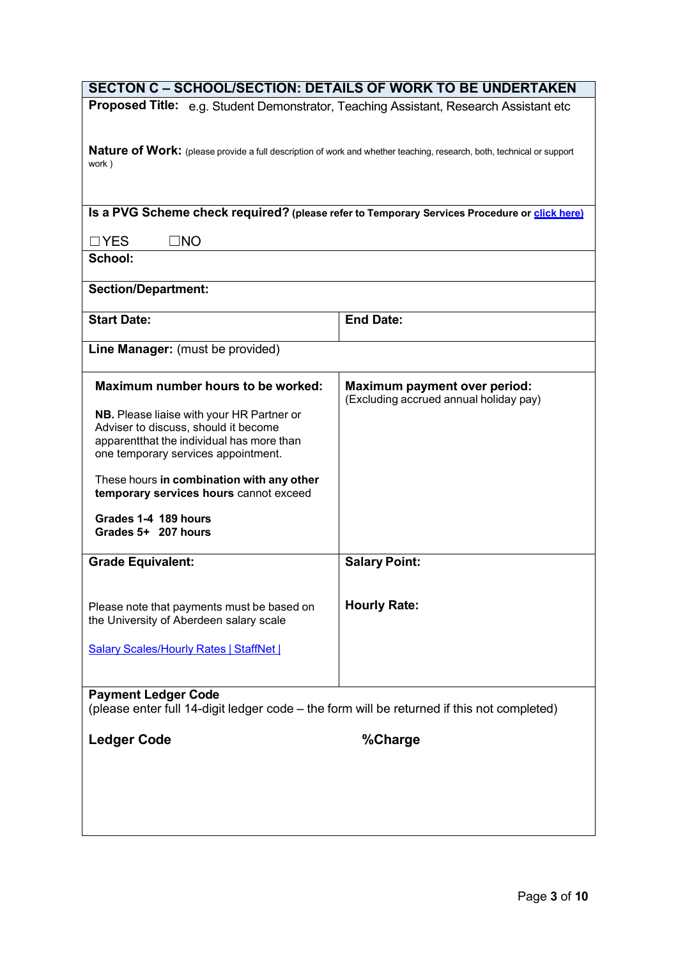| <b>SECTON C - SCHOOL/SECTION: DETAILS OF WORK TO BE UNDERTAKEN</b>                                                    |                                                                                              |  |  |  |
|-----------------------------------------------------------------------------------------------------------------------|----------------------------------------------------------------------------------------------|--|--|--|
| Proposed Title: e.g. Student Demonstrator, Teaching Assistant, Research Assistant etc                                 |                                                                                              |  |  |  |
|                                                                                                                       |                                                                                              |  |  |  |
| Nature of Work: (please provide a full description of work and whether teaching, research, both, technical or support |                                                                                              |  |  |  |
| work)                                                                                                                 |                                                                                              |  |  |  |
|                                                                                                                       |                                                                                              |  |  |  |
|                                                                                                                       |                                                                                              |  |  |  |
|                                                                                                                       | Is a PVG Scheme check required? (please refer to Temporary Services Procedure or click here) |  |  |  |
| $\square$ NO<br>$\Box$ YES                                                                                            |                                                                                              |  |  |  |
| School:                                                                                                               |                                                                                              |  |  |  |
|                                                                                                                       |                                                                                              |  |  |  |
| <b>Section/Department:</b>                                                                                            |                                                                                              |  |  |  |
| <b>Start Date:</b>                                                                                                    | <b>End Date:</b>                                                                             |  |  |  |
|                                                                                                                       |                                                                                              |  |  |  |
| Line Manager: (must be provided)                                                                                      |                                                                                              |  |  |  |
|                                                                                                                       |                                                                                              |  |  |  |
| Maximum number hours to be worked:                                                                                    | <b>Maximum payment over period:</b><br>(Excluding accrued annual holiday pay)                |  |  |  |
| NB. Please liaise with your HR Partner or                                                                             |                                                                                              |  |  |  |
| Adviser to discuss, should it become                                                                                  |                                                                                              |  |  |  |
| apparentthat the individual has more than                                                                             |                                                                                              |  |  |  |
| one temporary services appointment.                                                                                   |                                                                                              |  |  |  |
| These hours in combination with any other                                                                             |                                                                                              |  |  |  |
| temporary services hours cannot exceed                                                                                |                                                                                              |  |  |  |
| Grades 1-4 189 hours                                                                                                  |                                                                                              |  |  |  |
| Grades 5+ 207 hours                                                                                                   |                                                                                              |  |  |  |
|                                                                                                                       |                                                                                              |  |  |  |
| <b>Grade Equivalent:</b>                                                                                              | <b>Salary Point:</b>                                                                         |  |  |  |
|                                                                                                                       |                                                                                              |  |  |  |
| Please note that payments must be based on                                                                            | <b>Hourly Rate:</b>                                                                          |  |  |  |
| the University of Aberdeen salary scale                                                                               |                                                                                              |  |  |  |
|                                                                                                                       |                                                                                              |  |  |  |
| <b>Salary Scales/Hourly Rates   StaffNet  </b>                                                                        |                                                                                              |  |  |  |
|                                                                                                                       |                                                                                              |  |  |  |
| <b>Payment Ledger Code</b>                                                                                            |                                                                                              |  |  |  |
| (please enter full 14-digit ledger code – the form will be returned if this not completed)                            |                                                                                              |  |  |  |
| <b>Ledger Code</b>                                                                                                    | %Charge                                                                                      |  |  |  |
|                                                                                                                       |                                                                                              |  |  |  |
|                                                                                                                       |                                                                                              |  |  |  |
|                                                                                                                       |                                                                                              |  |  |  |
|                                                                                                                       |                                                                                              |  |  |  |
|                                                                                                                       |                                                                                              |  |  |  |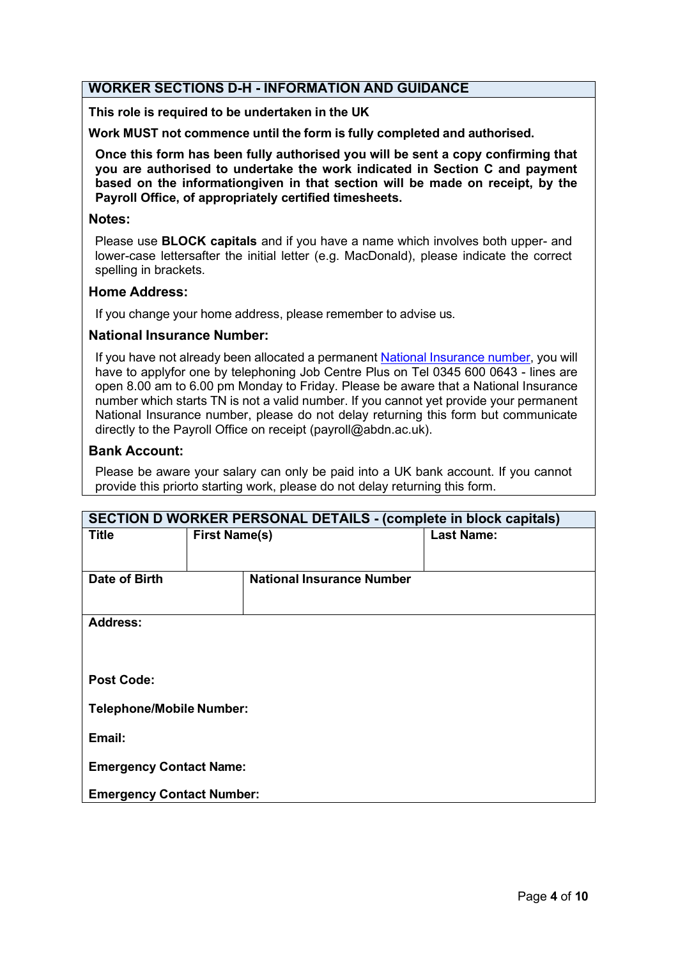### **WORKER SECTIONS D-H - INFORMATION AND GUIDANCE**

**This role is required to be undertaken in the UK**

**Work MUST not commence until the form is fully completed and authorised.**

**Once this form has been fully authorised you will be sent a copy confirming that you are authorised to undertake the work indicated in Section C and payment based on the informationgiven in that section will be made on receipt, by the Payroll Office, of appropriately certified timesheets.**

#### **Notes:**

Please use **BLOCK capitals** and if you have a name which involves both upper- and lower-case lettersafter the initial letter (e.g. MacDonald), please indicate the correct spelling in brackets.

#### **Home Address:**

If you change your home address, please remember to advise us.

#### **National Insurance Number:**

If you have not already been allocated a permanent National [Insurance](https://www.gov.uk/apply-national-insurance-number) number, you will have to applyfor one by telephoning Job Centre Plus on Tel 0345 600 0643 - lines are open 8.00 am to 6.00 pm Monday to Friday. Please be aware that a National Insurance number which starts TN is not a valid number. If you cannot yet provide your permanent National Insurance number, please do not delay returning this form but communicate directly to the Payroll Office on receipt (payroll@abdn.ac.uk).

#### **Bank Account:**

Please be aware your salary can only be paid into a UK bank account. If you cannot provide this priorto starting work, please do not delay returning this form.

| <b>SECTION D WORKER PERSONAL DETAILS - (complete in block capitals)</b> |                      |                                  |                   |  |
|-------------------------------------------------------------------------|----------------------|----------------------------------|-------------------|--|
| <b>Title</b>                                                            | <b>First Name(s)</b> |                                  | <b>Last Name:</b> |  |
|                                                                         |                      |                                  |                   |  |
| Date of Birth                                                           |                      | <b>National Insurance Number</b> |                   |  |
|                                                                         |                      |                                  |                   |  |
| <b>Address:</b>                                                         |                      |                                  |                   |  |
|                                                                         |                      |                                  |                   |  |
|                                                                         |                      |                                  |                   |  |
| <b>Post Code:</b>                                                       |                      |                                  |                   |  |
| <b>Telephone/Mobile Number:</b>                                         |                      |                                  |                   |  |
| Email:                                                                  |                      |                                  |                   |  |
| <b>Emergency Contact Name:</b>                                          |                      |                                  |                   |  |
| <b>Emergency Contact Number:</b>                                        |                      |                                  |                   |  |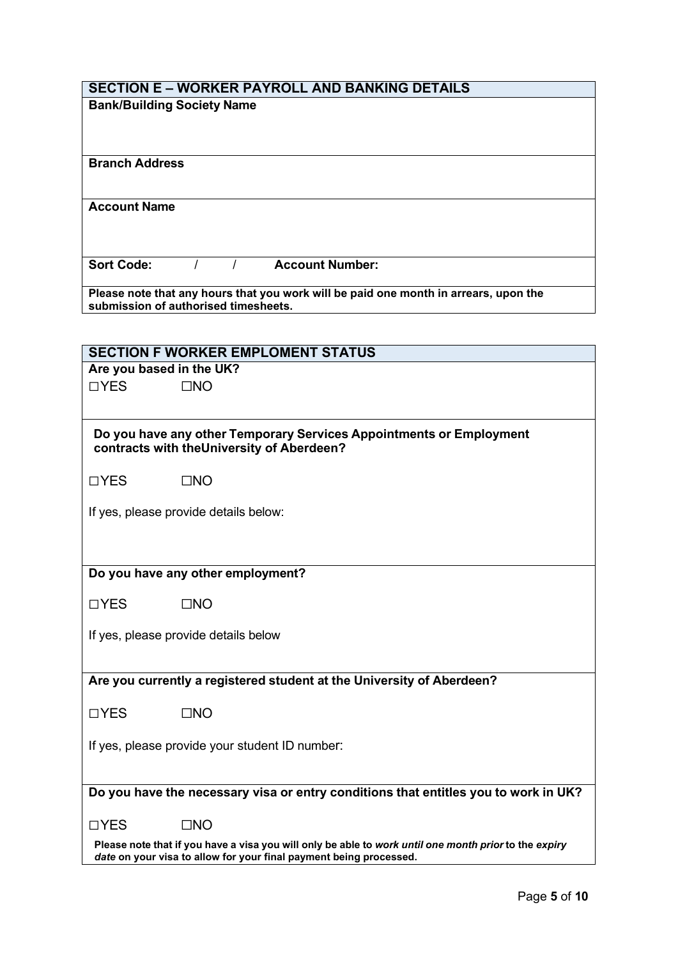## **SECTION E – WORKER PAYROLL AND BANKING DETAILS**

| <b>Bank/Building Society Name</b>    |  |                                                                                      |
|--------------------------------------|--|--------------------------------------------------------------------------------------|
| <b>Branch Address</b>                |  |                                                                                      |
| <b>Account Name</b>                  |  |                                                                                      |
| <b>Sort Code:</b>                    |  | <b>Account Number:</b>                                                               |
| submission of authorised timesheets. |  | Please note that any hours that you work will be paid one month in arrears, upon the |

|                          | <b>SECTION F WORKER EMPLOMENT STATUS</b>                                                                                                                                    |
|--------------------------|-----------------------------------------------------------------------------------------------------------------------------------------------------------------------------|
| Are you based in the UK? |                                                                                                                                                                             |
| □YES                     | $\square$ NO                                                                                                                                                                |
|                          |                                                                                                                                                                             |
|                          | Do you have any other Temporary Services Appointments or Employment<br>contracts with theUniversity of Aberdeen?                                                            |
| $\Box$ YES               | $\square$ NO                                                                                                                                                                |
|                          | If yes, please provide details below:                                                                                                                                       |
|                          |                                                                                                                                                                             |
|                          | Do you have any other employment?                                                                                                                                           |
| $\Box$ YES               | $\square$ NO                                                                                                                                                                |
|                          | If yes, please provide details below                                                                                                                                        |
|                          | Are you currently a registered student at the University of Aberdeen?                                                                                                       |
| $\Box$ YES               | $\square$ NO                                                                                                                                                                |
|                          | If yes, please provide your student ID number:                                                                                                                              |
|                          |                                                                                                                                                                             |
|                          | Do you have the necessary visa or entry conditions that entitles you to work in UK?                                                                                         |
| $\Box$ YES               | $\Box$ NO                                                                                                                                                                   |
|                          | Please note that if you have a visa you will only be able to work until one month prior to the expiry<br>date on your visa to allow for your final payment being processed. |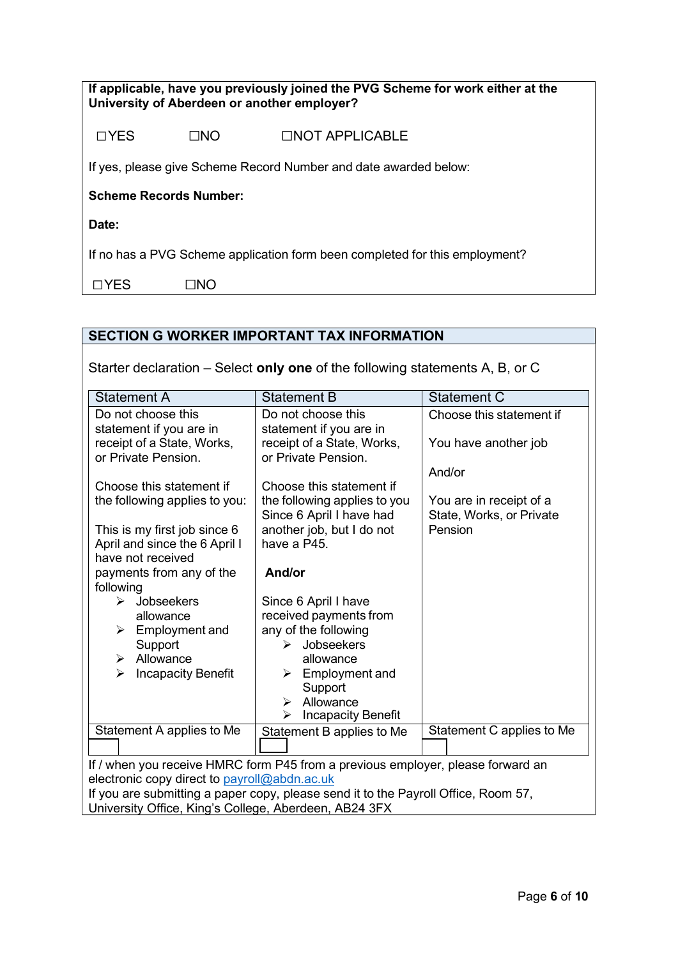| If applicable, have you previously joined the PVG Scheme for work either at the<br>University of Aberdeen or another employer? |                  |                 |  |  |
|--------------------------------------------------------------------------------------------------------------------------------|------------------|-----------------|--|--|
| $\Box$ YES                                                                                                                     | $\Box$ N $\rm O$ | □NOT APPLICABLE |  |  |
| If yes, please give Scheme Record Number and date awarded below:                                                               |                  |                 |  |  |
| <b>Scheme Records Number:</b>                                                                                                  |                  |                 |  |  |
| Date:                                                                                                                          |                  |                 |  |  |
| If no has a PVG Scheme application form been completed for this employment?                                                    |                  |                 |  |  |
| YFS                                                                                                                            |                  |                 |  |  |

# **SECTION G WORKER IMPORTANT TAX INFORMATION**

Starter declaration – Select **only one** of the following statements A, B, or C

| <b>Statement A</b>                                                              | <b>Statement B</b>                                                                 | <b>Statement C</b>        |  |
|---------------------------------------------------------------------------------|------------------------------------------------------------------------------------|---------------------------|--|
| Do not choose this                                                              | Do not choose this                                                                 | Choose this statement if  |  |
| statement if you are in                                                         | statement if you are in                                                            |                           |  |
| receipt of a State, Works,                                                      | receipt of a State, Works,                                                         | You have another job      |  |
| or Private Pension.                                                             | or Private Pension.                                                                |                           |  |
|                                                                                 |                                                                                    | And/or                    |  |
| Choose this statement if                                                        | Choose this statement if                                                           |                           |  |
| the following applies to you:                                                   | the following applies to you                                                       | You are in receipt of a   |  |
|                                                                                 | Since 6 April I have had                                                           | State, Works, or Private  |  |
| This is my first job since 6                                                    | another job, but I do not                                                          | Pension                   |  |
| April and since the 6 April I                                                   | have a P45.                                                                        |                           |  |
| have not received                                                               |                                                                                    |                           |  |
| payments from any of the                                                        | And/or                                                                             |                           |  |
| following                                                                       |                                                                                    |                           |  |
| Jobseekers<br>≻                                                                 | Since 6 April I have                                                               |                           |  |
| allowance                                                                       | received payments from                                                             |                           |  |
| Employment and<br>➤                                                             | any of the following                                                               |                           |  |
| Support                                                                         | Jobseekers                                                                         |                           |  |
| Allowance<br>➤                                                                  | allowance                                                                          |                           |  |
| <b>Incapacity Benefit</b><br>➤                                                  | Employment and<br>➤                                                                |                           |  |
|                                                                                 | Support                                                                            |                           |  |
|                                                                                 | Allowance<br>➤                                                                     |                           |  |
|                                                                                 | <b>Incapacity Benefit</b><br>↘                                                     |                           |  |
| Statement A applies to Me                                                       | Statement B applies to Me                                                          | Statement C applies to Me |  |
|                                                                                 |                                                                                    |                           |  |
| If / when you receive HMRC form P45 from a previous employer, please forward an |                                                                                    |                           |  |
| electronic copy direct to payroll@abdn.ac.uk                                    |                                                                                    |                           |  |
|                                                                                 | If you are submitting a paper copy, please send it to the Payroll Office, Room 57, |                           |  |
| University Office, King's College, Aberdeen, AB24 3FX                           |                                                                                    |                           |  |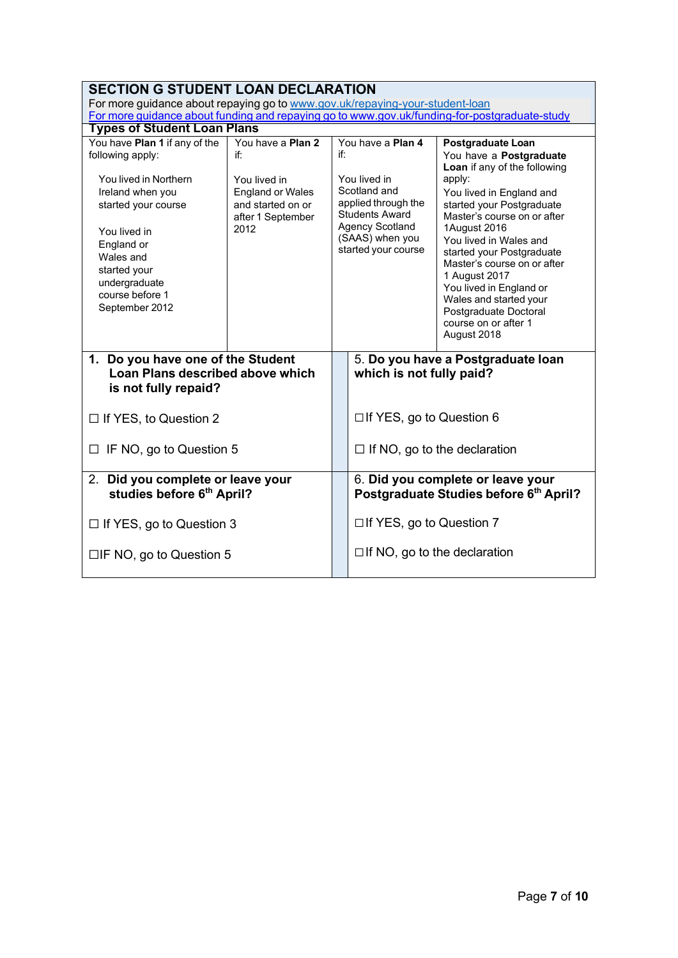| <b>SECTION G STUDENT LOAN DECLARATION</b>                                                                                                                                         |                                                                                           |                                                                                                                                                  |                                                                |                                                                                                                                                                                                                                                                                                                                            |
|-----------------------------------------------------------------------------------------------------------------------------------------------------------------------------------|-------------------------------------------------------------------------------------------|--------------------------------------------------------------------------------------------------------------------------------------------------|----------------------------------------------------------------|--------------------------------------------------------------------------------------------------------------------------------------------------------------------------------------------------------------------------------------------------------------------------------------------------------------------------------------------|
| For more guidance about repaying go to www.gov.uk/repaying-your-student-loan                                                                                                      |                                                                                           |                                                                                                                                                  |                                                                |                                                                                                                                                                                                                                                                                                                                            |
| For more guidance about funding and repaying go to www.gov.uk/funding-for-postgraduate-study                                                                                      |                                                                                           |                                                                                                                                                  |                                                                |                                                                                                                                                                                                                                                                                                                                            |
| <b>Types of Student Loan Plans</b>                                                                                                                                                |                                                                                           |                                                                                                                                                  |                                                                |                                                                                                                                                                                                                                                                                                                                            |
| You have Plan 1 if any of the<br>following apply:                                                                                                                                 | You have a Plan 2<br>if٠                                                                  | You have a Plan 4<br>if:                                                                                                                         |                                                                | Postgraduate Loan<br>You have a <b>Postgraduate</b><br>Loan if any of the following                                                                                                                                                                                                                                                        |
| You lived in Northern<br>Ireland when you<br>started your course<br>You lived in<br>England or<br>Wales and<br>started your<br>undergraduate<br>course before 1<br>September 2012 | You lived in<br><b>England or Wales</b><br>and started on or<br>after 1 September<br>2012 | You lived in<br>Scotland and<br>applied through the<br><b>Students Award</b><br><b>Agency Scotland</b><br>(SAAS) when you<br>started your course |                                                                | apply:<br>You lived in England and<br>started your Postgraduate<br>Master's course on or after<br>1August 2016<br>You lived in Wales and<br>started your Postgraduate<br>Master's course on or after<br>1 August 2017<br>You lived in England or<br>Wales and started your<br>Postgraduate Doctoral<br>course on or after 1<br>August 2018 |
| 1. Do you have one of the Student<br>Loan Plans described above which<br>is not fully repaid?                                                                                     |                                                                                           |                                                                                                                                                  | 5. Do you have a Postgraduate loan<br>which is not fully paid? |                                                                                                                                                                                                                                                                                                                                            |
| $\Box$ If YES, to Question 2                                                                                                                                                      |                                                                                           |                                                                                                                                                  | $\Box$ If YES, go to Question 6                                |                                                                                                                                                                                                                                                                                                                                            |
| IF NO, go to Question 5                                                                                                                                                           |                                                                                           |                                                                                                                                                  | $\Box$ If NO, go to the declaration                            |                                                                                                                                                                                                                                                                                                                                            |
| 2. Did you complete or leave your<br>studies before 6th April?                                                                                                                    |                                                                                           |                                                                                                                                                  |                                                                | 6. Did you complete or leave your<br>Postgraduate Studies before 6th April?                                                                                                                                                                                                                                                                |
| $\Box$ If YES, go to Question 3                                                                                                                                                   |                                                                                           |                                                                                                                                                  | $\Box$ If YES, go to Question 7                                |                                                                                                                                                                                                                                                                                                                                            |
| $\Box$ IF NO, go to Question 5                                                                                                                                                    |                                                                                           |                                                                                                                                                  | $\Box$ If NO, go to the declaration                            |                                                                                                                                                                                                                                                                                                                                            |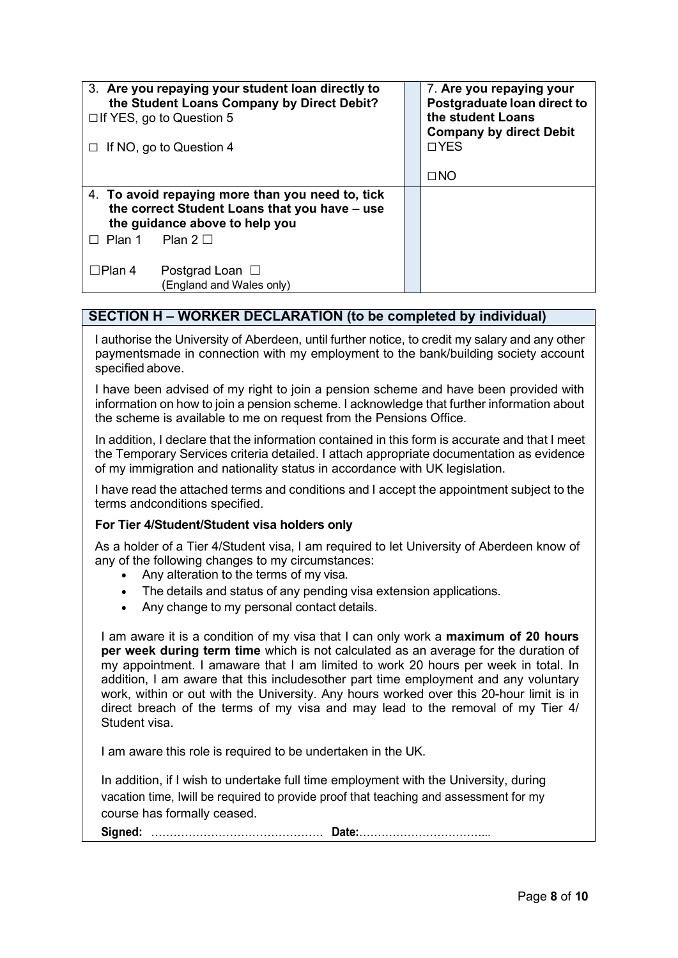| 3. Are you repaying your student loan directly to<br>the Student Loans Company by Direct Debit?<br>$\Box$ If YES, go to Question 5<br>If NO, go to Question 4 |                                                                                                                                                      |  | 7. Are you repaying your<br>Postgraduate loan direct to<br>the student Loans<br><b>Company by direct Debit</b><br>$\Box$ YES<br>$\square$ NO |
|---------------------------------------------------------------------------------------------------------------------------------------------------------------|------------------------------------------------------------------------------------------------------------------------------------------------------|--|----------------------------------------------------------------------------------------------------------------------------------------------|
| Plan 1                                                                                                                                                        | 4. To avoid repaying more than you need to, tick<br>the correct Student Loans that you have - use<br>the guidance above to help you<br>Plan 2 $\Box$ |  |                                                                                                                                              |
| $\Box$ Plan 4                                                                                                                                                 | Postgrad Loan $\Box$<br>(England and Wales only)                                                                                                     |  |                                                                                                                                              |

### **SECTION H – WORKER DECLARATION (to be completed by individual)**

I authorise the University of Aberdeen, until further notice, to credit my salary and any other paymentsmade in connection with my employment to the bank/building society account specified above.

I have been advised of my right to join a pension scheme and have been provided with information on how to join a pension scheme. I acknowledge that further information about the scheme is available to me on request from the Pensions Office.

In addition, I declare that the information contained in this form is accurate and that I meet the Temporary Services criteria detailed. I attach appropriate documentation as evidence of my immigration and nationality status in accordance with UK legislation.

I have read the attached terms and conditions and I accept the appointment subject to the terms andconditions specified.

#### **For Tier 4/Student/Student visa holders only**

As a holder of a Tier 4/Student visa, I am required to let University of Aberdeen know of any of the following changes to my circumstances:

- Any alteration to the terms of my visa.
- The details and status of any pending visa extension applications.
- Any change to my personal contact details.

I am aware it is a condition of my visa that I can only work a **maximum of 20 hours per week during term time** which is not calculated as an average for the duration of my appointment. I amaware that I am limited to work 20 hours per week in total. In addition, I am aware that this includesother part time employment and any voluntary work, within or out with the University. Any hours worked over this 20-hour limit is in direct breach of the terms of my visa and may lead to the removal of my Tier 4/ Student visa.

I am aware this role is required to be undertaken in the UK.

In addition, if I wish to undertake full time employment with the University, during vacation time, Iwill be required to provide proof that teaching and assessment for my course has formally ceased.

**Signed:** ………………………………………. **Date:**……………………………...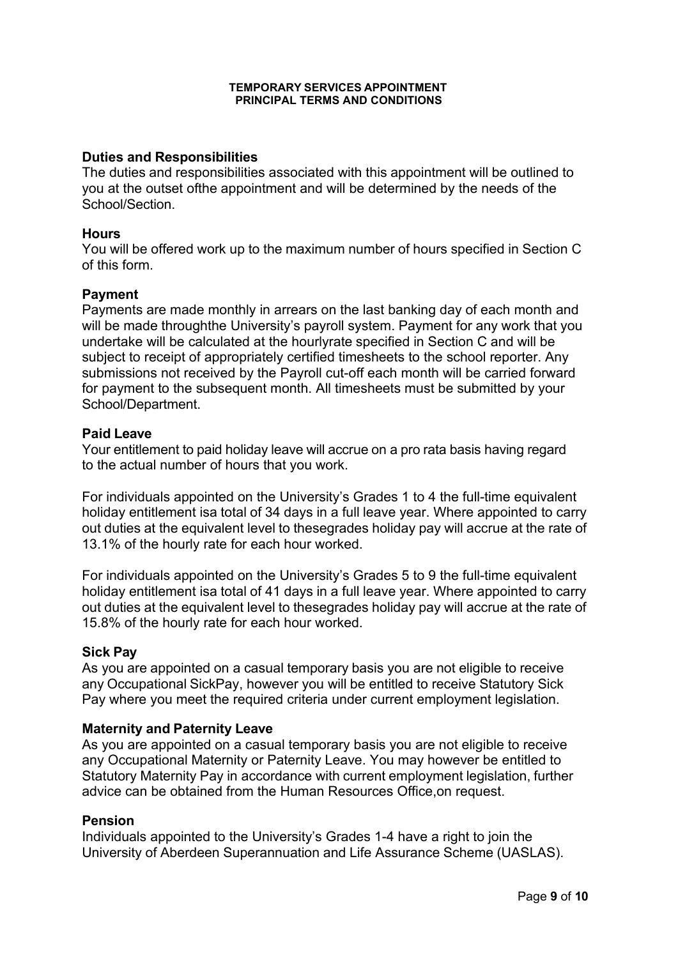#### **TEMPORARY SERVICES APPOINTMENT PRINCIPAL TERMS AND CONDITIONS**

#### **Duties and Responsibilities**

The duties and responsibilities associated with this appointment will be outlined to you at the outset ofthe appointment and will be determined by the needs of the School/Section.

#### **Hours**

You will be offered work up to the maximum number of hours specified in Section C of this form.

#### **Payment**

Payments are made monthly in arrears on the last banking day of each month and will be made throughthe University's payroll system. Payment for any work that you undertake will be calculated at the hourlyrate specified in Section C and will be subject to receipt of appropriately certified timesheets to the school reporter. Any submissions not received by the Payroll cut-off each month will be carried forward for payment to the subsequent month. All timesheets must be submitted by your School/Department.

#### **Paid Leave**

Your entitlement to paid holiday leave will accrue on a pro rata basis having regard to the actual number of hours that you work.

For individuals appointed on the University's Grades 1 to 4 the full-time equivalent holiday entitlement isa total of 34 days in a full leave year. Where appointed to carry out duties at the equivalent level to thesegrades holiday pay will accrue at the rate of 13.1% of the hourly rate for each hour worked.

For individuals appointed on the University's Grades 5 to 9 the full-time equivalent holiday entitlement isa total of 41 days in a full leave year. Where appointed to carry out duties at the equivalent level to thesegrades holiday pay will accrue at the rate of 15.8% of the hourly rate for each hour worked.

### **Sick Pay**

As you are appointed on a casual temporary basis you are not eligible to receive any Occupational SickPay, however you will be entitled to receive Statutory Sick Pay where you meet the required criteria under current employment legislation.

#### **Maternity and Paternity Leave**

As you are appointed on a casual temporary basis you are not eligible to receive any Occupational Maternity or Paternity Leave. You may however be entitled to Statutory Maternity Pay in accordance with current employment legislation, further advice can be obtained from the Human Resources Office,on request.

#### **Pension**

Individuals appointed to the University's Grades 1-4 have a right to join the University of Aberdeen Superannuation and Life Assurance Scheme (UASLAS).